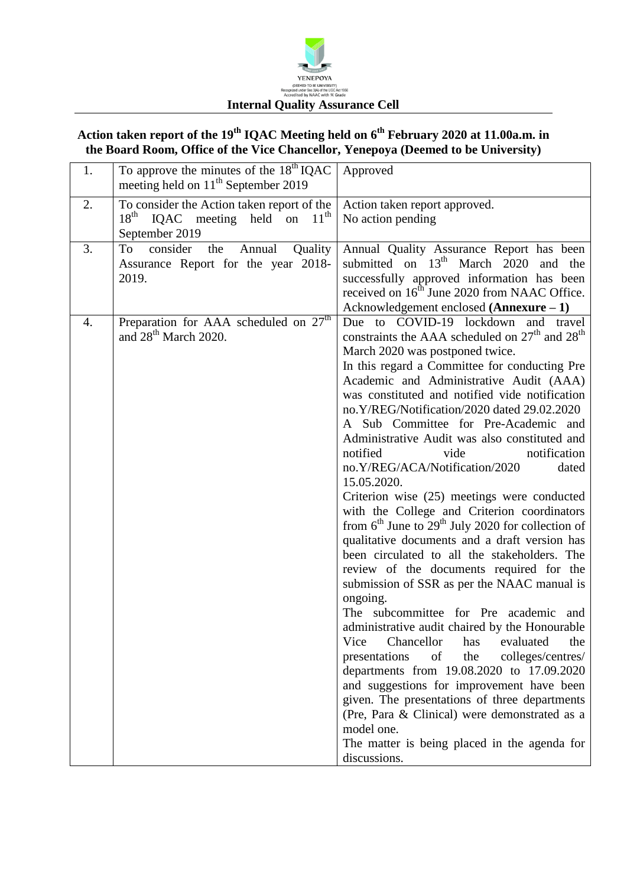

## **Action taken report of the 19 th IQAC Meeting held on 6 th February 2020 at 11.00a.m. in the Board Room, Office of the Vice Chancellor, Yenepoya (Deemed to be University)**

| 1. | To approve the minutes of the $18^{th}$ IQAC<br>meeting held on 11 <sup>th</sup> September 2019                 | Approved                                                                                                                                                                                                                                                                                                                                                                                                                                                                                                                                                                                                                                                                                                                                                                                                                                                                                                                                                                                                                                                                                                                                                                                                                                                                                                                                                                              |
|----|-----------------------------------------------------------------------------------------------------------------|---------------------------------------------------------------------------------------------------------------------------------------------------------------------------------------------------------------------------------------------------------------------------------------------------------------------------------------------------------------------------------------------------------------------------------------------------------------------------------------------------------------------------------------------------------------------------------------------------------------------------------------------------------------------------------------------------------------------------------------------------------------------------------------------------------------------------------------------------------------------------------------------------------------------------------------------------------------------------------------------------------------------------------------------------------------------------------------------------------------------------------------------------------------------------------------------------------------------------------------------------------------------------------------------------------------------------------------------------------------------------------------|
| 2. | To consider the Action taken report of the<br>18 <sup>th</sup><br>IQAC meeting held on $11th$<br>September 2019 | Action taken report approved.<br>No action pending                                                                                                                                                                                                                                                                                                                                                                                                                                                                                                                                                                                                                                                                                                                                                                                                                                                                                                                                                                                                                                                                                                                                                                                                                                                                                                                                    |
| 3. | consider<br>To<br>the<br>Quality<br>Annual<br>Assurance Report for the year 2018-<br>2019.                      | Annual Quality Assurance Report has been<br>submitted on $13th$ March 2020<br>and the<br>successfully approved information has been<br>received on 16 <sup>th</sup> June 2020 from NAAC Office.<br>Acknowledgement enclosed $(Annexure - 1)$                                                                                                                                                                                                                                                                                                                                                                                                                                                                                                                                                                                                                                                                                                                                                                                                                                                                                                                                                                                                                                                                                                                                          |
| 4. | Preparation for AAA scheduled on $27th$<br>and 28 <sup>th</sup> March 2020.                                     | Due to COVID-19 lockdown and travel<br>constraints the AAA scheduled on 27 <sup>th</sup> and 28 <sup>th</sup><br>March 2020 was postponed twice.<br>In this regard a Committee for conducting Pre<br>Academic and Administrative Audit (AAA)<br>was constituted and notified vide notification<br>no.Y/REG/Notification/2020 dated 29.02.2020<br>A Sub Committee for Pre-Academic and<br>Administrative Audit was also constituted and<br>notified<br>notification<br>vide<br>no.Y/REG/ACA/Notification/2020<br>dated<br>15.05.2020.<br>Criterion wise (25) meetings were conducted<br>with the College and Criterion coordinators<br>from $6^{th}$ June to $29^{th}$ July 2020 for collection of<br>qualitative documents and a draft version has<br>been circulated to all the stakeholders. The<br>review of the documents required for the<br>submission of SSR as per the NAAC manual is<br>ongoing.<br>The subcommittee for Pre academic<br>and<br>administrative audit chaired by the Honourable<br>Chancellor<br>Vice<br>the<br>has<br>evaluated<br>colleges/centres/<br>presentations<br>the<br>of<br>departments from 19.08.2020 to 17.09.2020<br>and suggestions for improvement have been<br>given. The presentations of three departments<br>(Pre, Para & Clinical) were demonstrated as a<br>model one.<br>The matter is being placed in the agenda for<br>discussions. |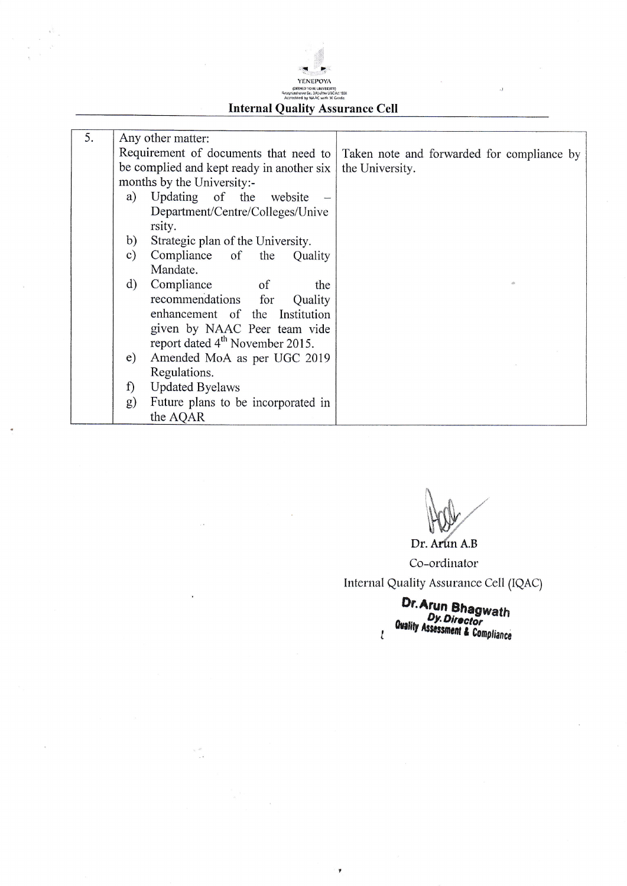## !: YENEPOYA tDEEMED TO BE UNIVERSITY)<br>Recognized uncer Sec 3(A) of the UGC Act 195<br>Accredited by NAAC with W Grade

## Internal Quality Assurance Cell

| 5. |               | Any other matter:                                                                  |                 |  |  |
|----|---------------|------------------------------------------------------------------------------------|-----------------|--|--|
|    |               | Requirement of documents that need to   Taken note and forwarded for compliance by |                 |  |  |
|    |               | be complied and kept ready in another six                                          | the University. |  |  |
|    |               | months by the University:-                                                         |                 |  |  |
|    | a)            | Updating of the website                                                            |                 |  |  |
|    |               | Department/Centre/Colleges/Unive                                                   |                 |  |  |
|    |               | rsity.                                                                             |                 |  |  |
|    | b)            | Strategic plan of the University.                                                  |                 |  |  |
|    | $\mathbf{c})$ | Compliance of the<br>Quality                                                       |                 |  |  |
|    |               | Mandate.                                                                           |                 |  |  |
|    | $\rm d)$      | Compliance<br><sub>of</sub><br>the                                                 |                 |  |  |
|    |               | recommendations for<br>Quality                                                     |                 |  |  |
|    |               | enhancement of the Institution                                                     |                 |  |  |
|    |               | given by NAAC Peer team vide                                                       |                 |  |  |
|    |               | report dated 4 <sup>th</sup> November 2015.                                        |                 |  |  |
|    | $\epsilon$ )  | Amended MoA as per UGC 2019                                                        |                 |  |  |
|    |               | Regulations.                                                                       |                 |  |  |
|    | f)            | <b>Updated Byelaws</b>                                                             |                 |  |  |
|    | g)            | Future plans to be incorporated in                                                 |                 |  |  |
|    |               | the AQAR                                                                           |                 |  |  |

 $\pmb{v}$ 

 $\mathbf{v}^{-1} \hat{\mathbf{v}}$ 

 $\mathcal{U}$ HOLY t:  $\setminus$ 

Dr. Arun A.B

Co-ordinator Internal Quality Assurance Cell (IQAC)

> Or.Arur Quality Assessment & Compliance